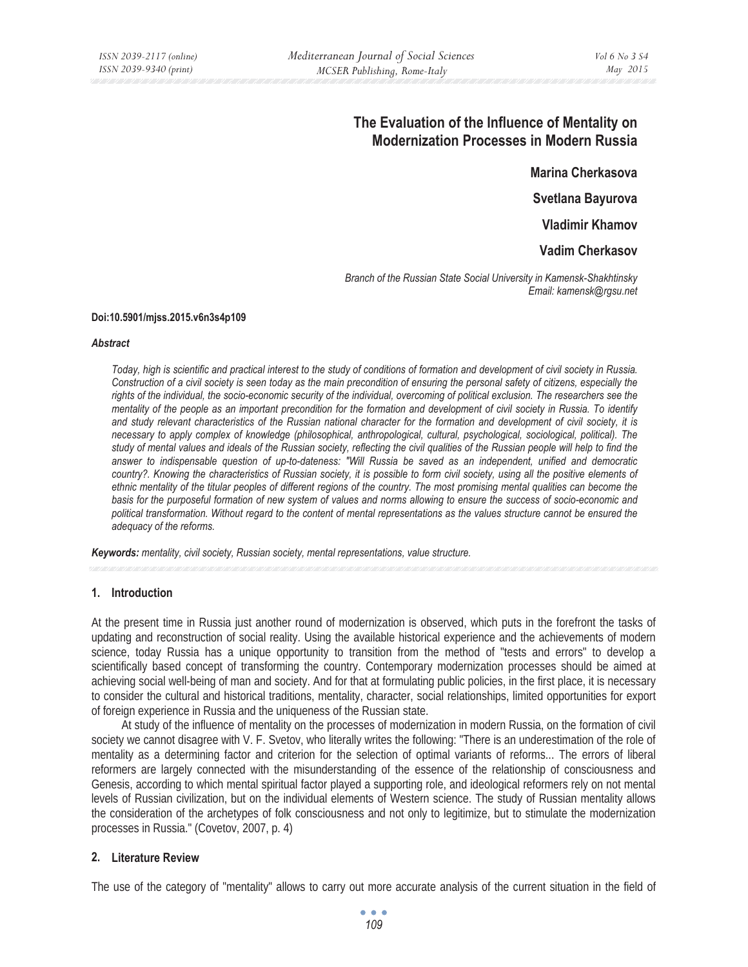# **The Evaluation of the Influence of Mentality on Modernization Processes in Modern Russia**

**Marina Cherkasova** 

**Svetlana Bayurova** 

**Vladimir Khamov** 

**Vadim Cherkasov** 

*Branch of the Russian State Social University in Kamensk-Shakhtinsky Email: kamensk@rgsu.net* 

#### **Doi:10.5901/mjss.2015.v6n3s4p109**

#### *Abstract*

*Today, high is scientific and practical interest to the study of conditions of formation and development of civil society in Russia. Construction of a civil society is seen today as the main precondition of ensuring the personal safety of citizens, especially the*  rights of the individual, the socio-economic security of the individual, overcoming of political exclusion. The researchers see the *mentality of the people as an important precondition for the formation and development of civil society in Russia. To identify and study relevant characteristics of the Russian national character for the formation and development of civil society, it is necessary to apply complex of knowledge (philosophical, anthropological, cultural, psychological, sociological, political). The study of mental values and ideals of the Russian society, reflecting the civil qualities of the Russian people will help to find the answer to indispensable question of up-to-dateness: "Will Russia be saved as an independent, unified and democratic country?. Knowing the characteristics of Russian society, it is possible to form civil society, using all the positive elements of ethnic mentality of the titular peoples of different regions of the country. The most promising mental qualities can become the basis for the purposeful formation of new system of values and norms allowing to ensure the success of socio-economic and political transformation. Without regard to the content of mental representations as the values structure cannot be ensured the adequacy of the reforms.* 

*Keywords: mentality, civil society, Russian society, mental representations, value structure.* 

## **1. Introduction**

At the present time in Russia just another round of modernization is observed, which puts in the forefront the tasks of updating and reconstruction of social reality. Using the available historical experience and the achievements of modern science, today Russia has a unique opportunity to transition from the method of "tests and errors" to develop a scientifically based concept of transforming the country. Contemporary modernization processes should be aimed at achieving social well-being of man and society. And for that at formulating public policies, in the first place, it is necessary to consider the cultural and historical traditions, mentality, character, social relationships, limited opportunities for export of foreign experience in Russia and the uniqueness of the Russian state.

At study of the influence of mentality on the processes of modernization in modern Russia, on the formation of civil society we cannot disagree with V. F. Svetov, who literally writes the following: "There is an underestimation of the role of mentality as a determining factor and criterion for the selection of optimal variants of reforms... The errors of liberal reformers are largely connected with the misunderstanding of the essence of the relationship of consciousness and Genesis, according to which mental spiritual factor played a supporting role, and ideological reformers rely on not mental levels of Russian civilization, but on the individual elements of Western science. The study of Russian mentality allows the consideration of the archetypes of folk consciousness and not only to legitimize, but to stimulate the modernization processes in Russia." (Covetov, 2007, p. 4)

## **2. Literature Review**

The use of the category of "mentality" allows to carry out more accurate analysis of the current situation in the field of

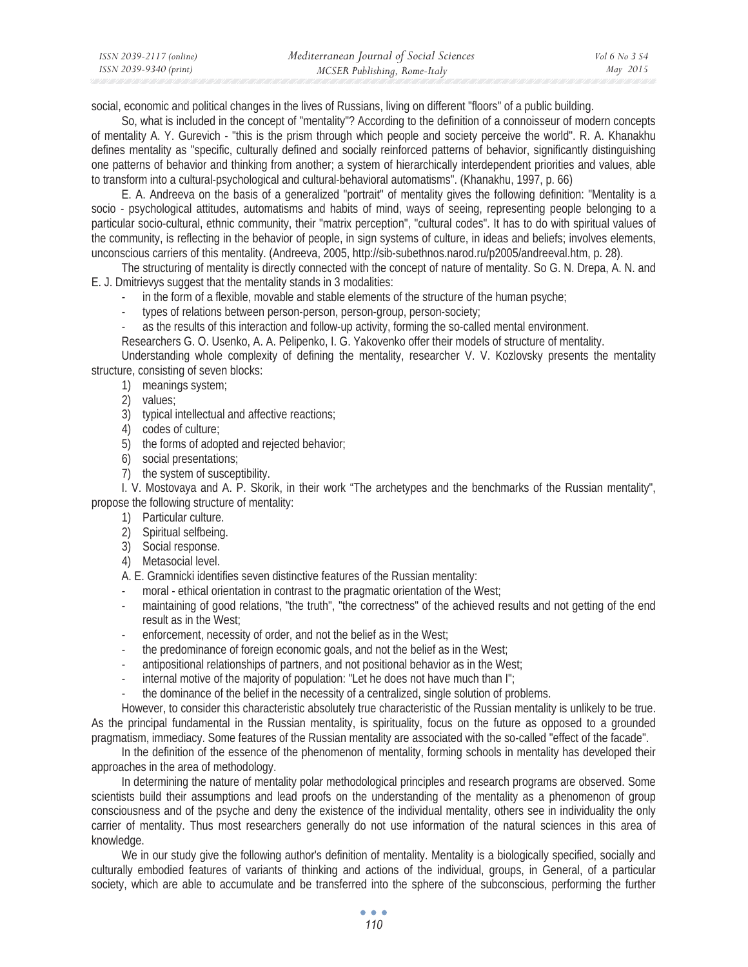| ISSN 2039-2117 (online) | Mediterranean Journal of Social Sciences | Vol 6 No 3 S4 |
|-------------------------|------------------------------------------|---------------|
| ISSN 2039-9340 (print)  | MCSER Publishing, Rome-Italy             | May 2015      |

social, economic and political changes in the lives of Russians, living on different "floors" of a public building.

So, what is included in the concept of "mentality"? According to the definition of a connoisseur of modern concepts of mentality A. Y. Gurevich - "this is the prism through which people and society perceive the world". R. A. Khanakhu defines mentality as "specific, culturally defined and socially reinforced patterns of behavior, significantly distinguishing one patterns of behavior and thinking from another; a system of hierarchically interdependent priorities and values, able to transform into a cultural-psychological and cultural-behavioral automatisms". (Khanakhu, 1997, p. 66)

E. A. Andreeva on the basis of a generalized "portrait" of mentality gives the following definition: "Mentality is a socio - psychological attitudes, automatisms and habits of mind, ways of seeing, representing people belonging to a particular socio-cultural, ethnic community, their "matrix perception", "cultural codes". It has to do with spiritual values of the community, is reflecting in the behavior of people, in sign systems of culture, in ideas and beliefs; involves elements, unconscious carriers of this mentality. (Andreeva, 2005, http://sib-subethnos.narod.ru/p2005/andreeval.htm, p. 28).

The structuring of mentality is directly connected with the concept of nature of mentality. So G. N. Drepa, A. N. and E. J. Dmitrievys suggest that the mentality stands in 3 modalities:

- in the form of a flexible, movable and stable elements of the structure of the human psyche;
- types of relations between person-person, person-group, person-society;
- as the results of this interaction and follow-up activity, forming the so-called mental environment.

Researchers G. O. Usenko, A. A. Pelipenko, I. G. Yakovenko offer their models of structure of mentality.

Understanding whole complexity of defining the mentality, researcher V. V. Kozlovsky presents the mentality structure, consisting of seven blocks:

- 1) meanings system;
- 2) values;
- 3) typical intellectual and affective reactions;
- 4) codes of culture;
- 5) the forms of adopted and rejected behavior;
- 6) social presentations;
- 7) the system of susceptibility.

I. V. Mostovaya and A. P. Skorik, in their work "The archetypes and the benchmarks of the Russian mentality", propose the following structure of mentality:

- 1) Particular culture.
- 2) Spiritual selfbeing.
- 3) Social response.
- 4) Metasocial level.

A. E. Gramnicki identifies seven distinctive features of the Russian mentality:

- moral ethical orientation in contrast to the pragmatic orientation of the West;
- maintaining of good relations, "the truth", "the correctness" of the achieved results and not getting of the end result as in the West;
- enforcement, necessity of order, and not the belief as in the West;
- the predominance of foreign economic goals, and not the belief as in the West;
- antipositional relationships of partners, and not positional behavior as in the West;
- internal motive of the majority of population: "Let he does not have much than I";
- the dominance of the belief in the necessity of a centralized, single solution of problems.

However, to consider this characteristic absolutely true characteristic of the Russian mentality is unlikely to be true. As the principal fundamental in the Russian mentality, is spirituality, focus on the future as opposed to a grounded pragmatism, immediacy. Some features of the Russian mentality are associated with the so-called "effect of the facade".

In the definition of the essence of the phenomenon of mentality, forming schools in mentality has developed their approaches in the area of methodology.

In determining the nature of mentality polar methodological principles and research programs are observed. Some scientists build their assumptions and lead proofs on the understanding of the mentality as a phenomenon of group consciousness and of the psyche and deny the existence of the individual mentality, others see in individuality the only carrier of mentality. Thus most researchers generally do not use information of the natural sciences in this area of knowledge.

We in our study give the following author's definition of mentality. Mentality is a biologically specified, socially and culturally embodied features of variants of thinking and actions of the individual, groups, in General, of a particular society, which are able to accumulate and be transferred into the sphere of the subconscious, performing the further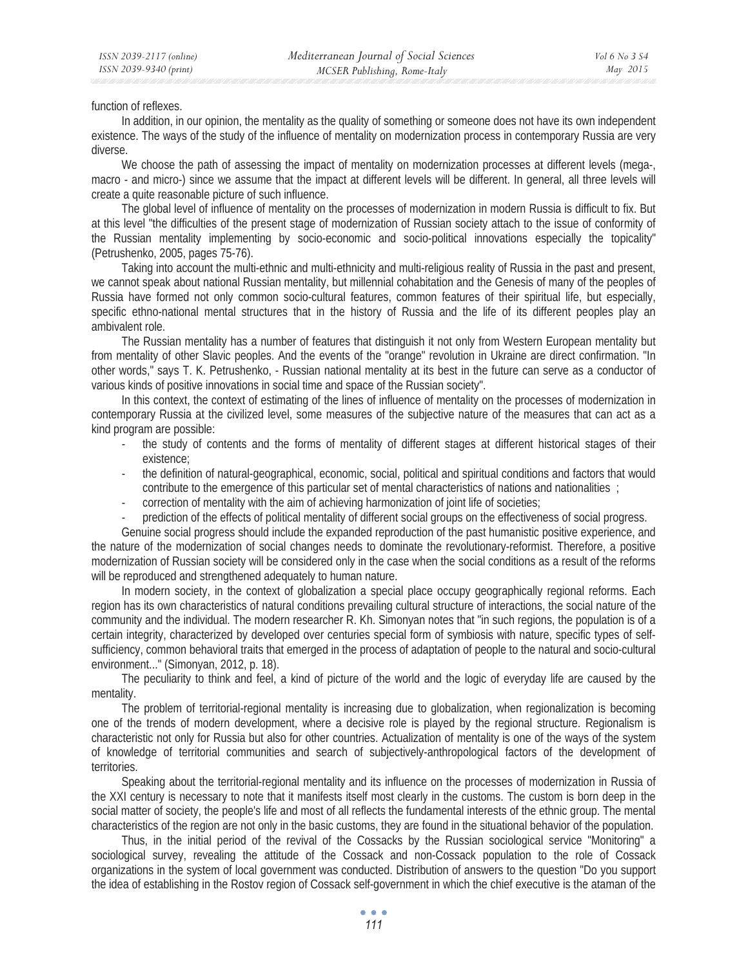function of reflexes.

In addition, in our opinion, the mentality as the quality of something or someone does not have its own independent existence. The ways of the study of the influence of mentality on modernization process in contemporary Russia are very diverse.

We choose the path of assessing the impact of mentality on modernization processes at different levels (mega-, macro - and micro-) since we assume that the impact at different levels will be different. In general, all three levels will create a quite reasonable picture of such influence.

The global level of influence of mentality on the processes of modernization in modern Russia is difficult to fix. But at this level "the difficulties of the present stage of modernization of Russian society attach to the issue of conformity of the Russian mentality implementing by socio-economic and socio-political innovations especially the topicality" (Petrushenko, 2005, pages 75-76).

Taking into account the multi-ethnic and multi-ethnicity and multi-religious reality of Russia in the past and present, we cannot speak about national Russian mentality, but millennial cohabitation and the Genesis of many of the peoples of Russia have formed not only common socio-cultural features, common features of their spiritual life, but especially, specific ethno-national mental structures that in the history of Russia and the life of its different peoples play an ambivalent role.

The Russian mentality has a number of features that distinguish it not only from Western European mentality but from mentality of other Slavic peoples. And the events of the "orange" revolution in Ukraine are direct confirmation. "In other words," says T. K. Petrushenko, - Russian national mentality at its best in the future can serve as a conductor of various kinds of positive innovations in social time and space of the Russian society".

In this context, the context of estimating of the lines of influence of mentality on the processes of modernization in contemporary Russia at the civilized level, some measures of the subjective nature of the measures that can act as a kind program are possible:

- the study of contents and the forms of mentality of different stages at different historical stages of their existence;
- the definition of natural-geographical, economic, social, political and spiritual conditions and factors that would contribute to the emergence of this particular set of mental characteristics of nations and nationalities ;
- correction of mentality with the aim of achieving harmonization of joint life of societies;
- prediction of the effects of political mentality of different social groups on the effectiveness of social progress.

Genuine social progress should include the expanded reproduction of the past humanistic positive experience, and the nature of the modernization of social changes needs to dominate the revolutionary-reformist. Therefore, a positive modernization of Russian society will be considered only in the case when the social conditions as a result of the reforms will be reproduced and strengthened adequately to human nature.

In modern society, in the context of globalization a special place occupy geographically regional reforms. Each region has its own characteristics of natural conditions prevailing cultural structure of interactions, the social nature of the community and the individual. The modern researcher R. Kh. Simonyan notes that "in such regions, the population is of a certain integrity, characterized by developed over centuries special form of symbiosis with nature, specific types of selfsufficiency, common behavioral traits that emerged in the process of adaptation of people to the natural and socio-cultural environment..." (Simonyan, 2012, p. 18).

The peculiarity to think and feel, a kind of picture of the world and the logic of everyday life are caused by the mentality.

The problem of territorial-regional mentality is increasing due to globalization, when regionalization is becoming one of the trends of modern development, where a decisive role is played by the regional structure. Regionalism is characteristic not only for Russia but also for other countries. Actualization of mentality is one of the ways of the system of knowledge of territorial communities and search of subjectively-anthropological factors of the development of territories.

Speaking about the territorial-regional mentality and its influence on the processes of modernization in Russia of the XXI century is necessary to note that it manifests itself most clearly in the customs. The custom is born deep in the social matter of society, the people's life and most of all reflects the fundamental interests of the ethnic group. The mental characteristics of the region are not only in the basic customs, they are found in the situational behavior of the population.

Thus, in the initial period of the revival of the Cossacks by the Russian sociological service "Monitoring" a sociological survey, revealing the attitude of the Cossack and non-Cossack population to the role of Cossack organizations in the system of local government was conducted. Distribution of answers to the question "Do you support the idea of establishing in the Rostov region of Cossack self-government in which the chief executive is the ataman of the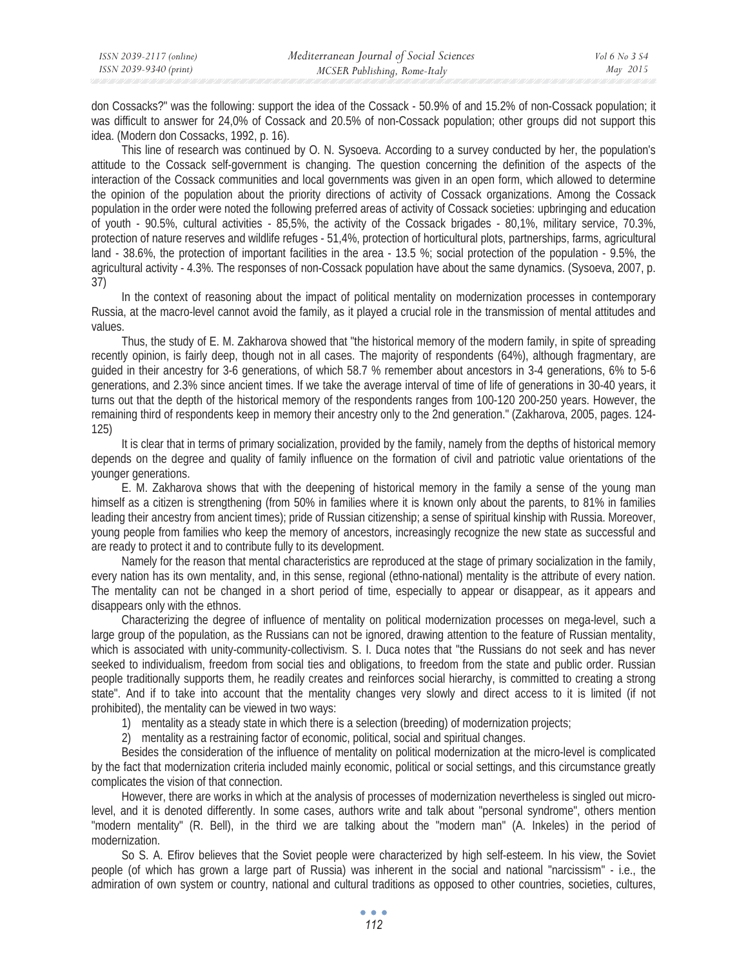don Cossacks?" was the following: support the idea of the Cossack - 50.9% of and 15.2% of non-Cossack population; it was difficult to answer for 24,0% of Cossack and 20.5% of non-Cossack population; other groups did not support this idea. (Modern don Cossacks, 1992, p. 16).

This line of research was continued by O. N. Sysoeva. According to a survey conducted by her, the population's attitude to the Cossack self-government is changing. The question concerning the definition of the aspects of the interaction of the Cossack communities and local governments was given in an open form, which allowed to determine the opinion of the population about the priority directions of activity of Cossack organizations. Among the Cossack population in the order were noted the following preferred areas of activity of Cossack societies: upbringing and education of youth - 90.5%, cultural activities - 85,5%, the activity of the Cossack brigades - 80,1%, military service, 70.3%, protection of nature reserves and wildlife refuges - 51,4%, protection of horticultural plots, partnerships, farms, agricultural land - 38.6%, the protection of important facilities in the area - 13.5 %; social protection of the population - 9.5%, the agricultural activity - 4.3%. The responses of non-Cossack population have about the same dynamics. (Sysoeva, 2007, p. 37)

In the context of reasoning about the impact of political mentality on modernization processes in contemporary Russia, at the macro-level cannot avoid the family, as it played a crucial role in the transmission of mental attitudes and values.

Thus, the study of E. M. Zakharova showed that "the historical memory of the modern family, in spite of spreading recently opinion, is fairly deep, though not in all cases. The majority of respondents (64%), although fragmentary, are guided in their ancestry for 3-6 generations, of which 58.7 % remember about ancestors in 3-4 generations, 6% to 5-6 generations, and 2.3% since ancient times. If we take the average interval of time of life of generations in 30-40 years, it turns out that the depth of the historical memory of the respondents ranges from 100-120 200-250 years. However, the remaining third of respondents keep in memory their ancestry only to the 2nd generation." (Zakharova, 2005, pages. 124- 125)

It is clear that in terms of primary socialization, provided by the family, namely from the depths of historical memory depends on the degree and quality of family influence on the formation of civil and patriotic value orientations of the younger generations.

E. M. Zakharova shows that with the deepening of historical memory in the family a sense of the young man himself as a citizen is strengthening (from 50% in families where it is known only about the parents, to 81% in families leading their ancestry from ancient times); pride of Russian citizenship; a sense of spiritual kinship with Russia. Moreover, young people from families who keep the memory of ancestors, increasingly recognize the new state as successful and are ready to protect it and to contribute fully to its development.

Namely for the reason that mental characteristics are reproduced at the stage of primary socialization in the family, every nation has its own mentality, and, in this sense, regional (ethno-national) mentality is the attribute of every nation. The mentality can not be changed in a short period of time, especially to appear or disappear, as it appears and disappears only with the ethnos.

Characterizing the degree of influence of mentality on political modernization processes on mega-level, such a large group of the population, as the Russians can not be ignored, drawing attention to the feature of Russian mentality, which is associated with unity-community-collectivism. S. I. Duca notes that "the Russians do not seek and has never seeked to individualism, freedom from social ties and obligations, to freedom from the state and public order. Russian people traditionally supports them, he readily creates and reinforces social hierarchy, is committed to creating a strong state". And if to take into account that the mentality changes very slowly and direct access to it is limited (if not prohibited), the mentality can be viewed in two ways:

1) mentality as a steady state in which there is a selection (breeding) of modernization projects;

2) mentality as a restraining factor of economic, political, social and spiritual changes.

Besides the consideration of the influence of mentality on political modernization at the micro-level is complicated by the fact that modernization criteria included mainly economic, political or social settings, and this circumstance greatly complicates the vision of that connection.

However, there are works in which at the analysis of processes of modernization nevertheless is singled out microlevel, and it is denoted differently. In some cases, authors write and talk about "personal syndrome", others mention "modern mentality" (R. Bell), in the third we are talking about the "modern man" (A. Inkeles) in the period of modernization.

So S. A. Efirov believes that the Soviet people were characterized by high self-esteem. In his view, the Soviet people (of which has grown a large part of Russia) was inherent in the social and national "narcissism" - i.e., the admiration of own system or country, national and cultural traditions as opposed to other countries, societies, cultures,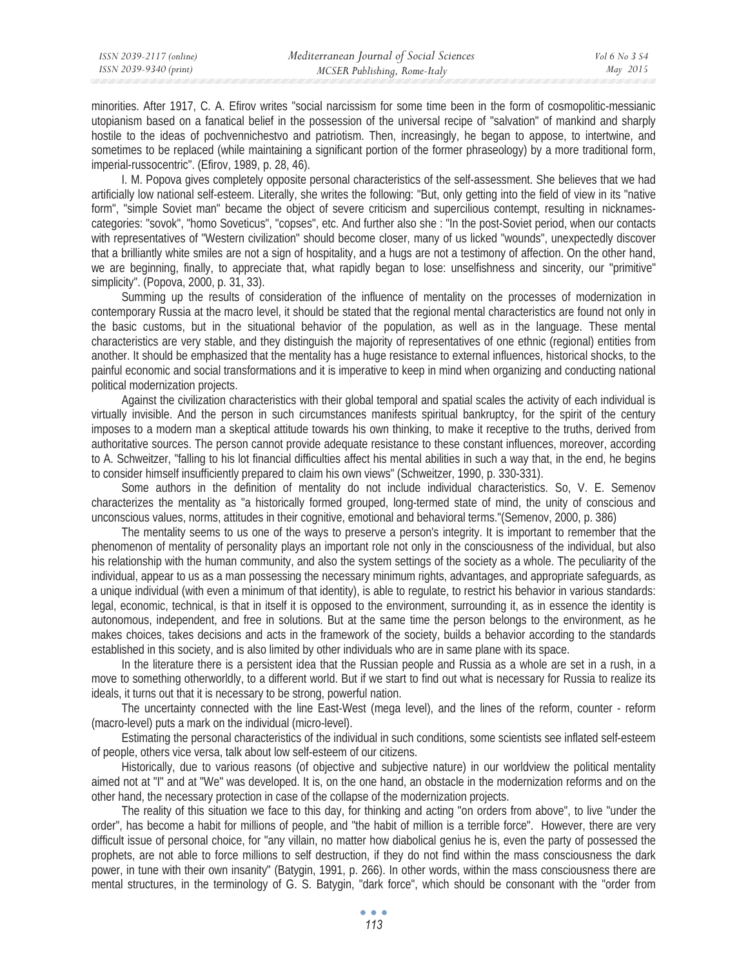minorities. After 1917, C. A. Efirov writes "social narcissism for some time been in the form of cosmopolitic-messianic utopianism based on a fanatical belief in the possession of the universal recipe of "salvation" of mankind and sharply hostile to the ideas of pochvennichestvo and patriotism. Then, increasingly, he began to appose, to intertwine, and sometimes to be replaced (while maintaining a significant portion of the former phraseology) by a more traditional form, imperial-russocentric". (Efirov, 1989, p. 28, 46).

I. M. Popova gives completely opposite personal characteristics of the self-assessment. She believes that we had artificially low national self-esteem. Literally, she writes the following: "But, only getting into the field of view in its "native form", "simple Soviet man" became the object of severe criticism and supercilious contempt, resulting in nicknamescategories: "sovok", "homo Soveticus", "copses", etc. And further also she : "In the post-Soviet period, when our contacts with representatives of "Western civilization" should become closer, many of us licked "wounds", unexpectedly discover that a brilliantly white smiles are not a sign of hospitality, and a hugs are not a testimony of affection. On the other hand, we are beginning, finally, to appreciate that, what rapidly began to lose: unselfishness and sincerity, our "primitive" simplicity". (Popova, 2000, p. 31, 33).

Summing up the results of consideration of the influence of mentality on the processes of modernization in contemporary Russia at the macro level, it should be stated that the regional mental characteristics are found not only in the basic customs, but in the situational behavior of the population, as well as in the language. These mental characteristics are very stable, and they distinguish the majority of representatives of one ethnic (regional) entities from another. It should be emphasized that the mentality has a huge resistance to external influences, historical shocks, to the painful economic and social transformations and it is imperative to keep in mind when organizing and conducting national political modernization projects.

Against the civilization characteristics with their global temporal and spatial scales the activity of each individual is virtually invisible. And the person in such circumstances manifests spiritual bankruptcy, for the spirit of the century imposes to a modern man a skeptical attitude towards his own thinking, to make it receptive to the truths, derived from authoritative sources. The person cannot provide adequate resistance to these constant influences, moreover, according to A. Schweitzer, "falling to his lot financial difficulties affect his mental abilities in such a way that, in the end, he begins to consider himself insufficiently prepared to claim his own views" (Schweitzer, 1990, p. 330-331).

Some authors in the definition of mentality do not include individual characteristics. So, V. E. Semenov characterizes the mentality as "a historically formed grouped, long-termed state of mind, the unity of conscious and unconscious values, norms, attitudes in their cognitive, emotional and behavioral terms."(Semenov, 2000, p. 386)

The mentality seems to us one of the ways to preserve a person's integrity. It is important to remember that the phenomenon of mentality of personality plays an important role not only in the consciousness of the individual, but also his relationship with the human community, and also the system settings of the society as a whole. The peculiarity of the individual, appear to us as a man possessing the necessary minimum rights, advantages, and appropriate safeguards, as a unique individual (with even a minimum of that identity), is able to regulate, to restrict his behavior in various standards: legal, economic, technical, is that in itself it is opposed to the environment, surrounding it, as in essence the identity is autonomous, independent, and free in solutions. But at the same time the person belongs to the environment, as he makes choices, takes decisions and acts in the framework of the society, builds a behavior according to the standards established in this society, and is also limited by other individuals who are in same plane with its space.

In the literature there is a persistent idea that the Russian people and Russia as a whole are set in a rush, in a move to something otherworldly, to a different world. But if we start to find out what is necessary for Russia to realize its ideals, it turns out that it is necessary to be strong, powerful nation.

The uncertainty connected with the line East-West (mega level), and the lines of the reform, counter - reform (macro-level) puts a mark on the individual (micro-level).

Estimating the personal characteristics of the individual in such conditions, some scientists see inflated self-esteem of people, others vice versa, talk about low self-esteem of our citizens.

Historically, due to various reasons (of objective and subjective nature) in our worldview the political mentality aimed not at "I" and at "We" was developed. It is, on the one hand, an obstacle in the modernization reforms and on the other hand, the necessary protection in case of the collapse of the modernization projects.

The reality of this situation we face to this day, for thinking and acting "on orders from above", to live "under the order", has become a habit for millions of people, and "the habit of million is a terrible force". However, there are very difficult issue of personal choice, for "any villain, no matter how diabolical genius he is, even the party of possessed the prophets, are not able to force millions to self destruction, if they do not find within the mass consciousness the dark power, in tune with their own insanity" (Batygin, 1991, p. 266). In other words, within the mass consciousness there are mental structures, in the terminology of G. S. Batygin, "dark force", which should be consonant with the "order from